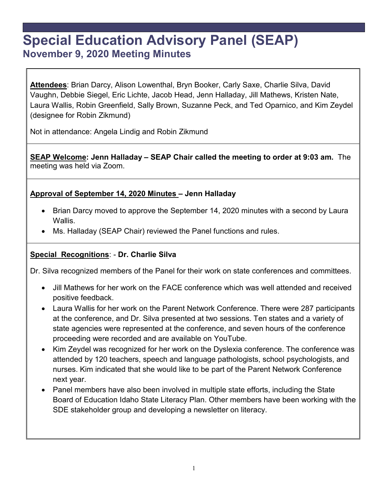# **Special Education Advisory Panel (SEAP) November 9, 2020 Meeting Minutes**

**Attendees**: Brian Darcy, Alison Lowenthal, Bryn Booker, Carly Saxe, Charlie Silva, David Vaughn, Debbie Siegel, Eric Lichte, Jacob Head, Jenn Halladay, Jill Mathews, Kristen Nate, Laura Wallis, Robin Greenfield, Sally Brown, Suzanne Peck, and Ted Oparnico, and Kim Zeydel (designee for Robin Zikmund)

Not in attendance: Angela Lindig and Robin Zikmund

**SEAP Welcome: Jenn Halladay – SEAP Chair called the meeting to order at 9:03 am.** The meeting was held via Zoom.

#### **Approval of September 14, 2020 Minutes – Jenn Halladay**

- Brian Darcy moved to approve the September 14, 2020 minutes with a second by Laura Wallis.
- Ms. Halladay (SEAP Chair) reviewed the Panel functions and rules.

#### **Special Recognitions**: - **Dr. Charlie Silva**

Dr. Silva recognized members of the Panel for their work on state conferences and committees.

- Jill Mathews for her work on the FACE conference which was well attended and received positive feedback.
- Laura Wallis for her work on the Parent Network Conference. There were 287 participants at the conference, and Dr. Silva presented at two sessions. Ten states and a variety of state agencies were represented at the conference, and seven hours of the conference proceeding were recorded and are available on YouTube.
- Kim Zeydel was recognized for her work on the Dyslexia conference. The conference was attended by 120 teachers, speech and language pathologists, school psychologists, and nurses. Kim indicated that she would like to be part of the Parent Network Conference next year.
- Panel members have also been involved in multiple state efforts, including the State Board of Education Idaho State Literacy Plan. Other members have been working with the SDE stakeholder group and developing a newsletter on literacy.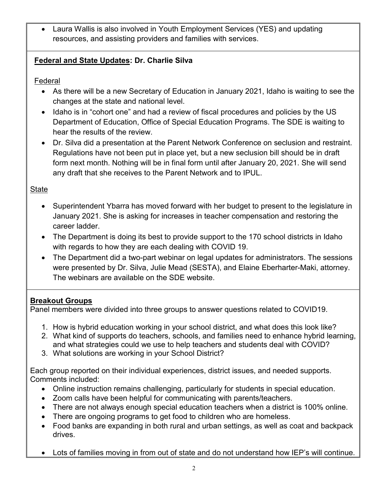• Laura Wallis is also involved in Youth Employment Services (YES) and updating resources, and assisting providers and families with services.

# **Federal and State Updates: Dr. Charlie Silva**

Federal

- As there will be a new Secretary of Education in January 2021, Idaho is waiting to see the changes at the state and national level.
- Idaho is in "cohort one" and had a review of fiscal procedures and policies by the US Department of Education, Office of Special Education Programs. The SDE is waiting to hear the results of the review.
- Dr. Silva did a presentation at the Parent Network Conference on seclusion and restraint. Regulations have not been put in place yet, but a new seclusion bill should be in draft form next month. Nothing will be in final form until after January 20, 2021. She will send any draft that she receives to the Parent Network and to IPUL.

# State

- Superintendent Ybarra has moved forward with her budget to present to the legislature in January 2021. She is asking for increases in teacher compensation and restoring the career ladder.
- The Department is doing its best to provide support to the 170 school districts in Idaho with regards to how they are each dealing with COVID 19.
- The Department did a two-part webinar on legal updates for administrators. The sessions were presented by Dr. Silva, Julie Mead (SESTA), and Elaine Eberharter-Maki, attorney. The webinars are available on the SDE website.

# **Breakout Groups**

Panel members were divided into three groups to answer questions related to COVID19.

- 1. How is hybrid education working in your school district, and what does this look like?
- 2. What kind of supports do teachers, schools, and families need to enhance hybrid learning, and what strategies could we use to help teachers and students deal with COVID?
- 3. What solutions are working in your School District?

Each group reported on their individual experiences, district issues, and needed supports. Comments included:

- Online instruction remains challenging, particularly for students in special education.
- Zoom calls have been helpful for communicating with parents/teachers.
- There are not always enough special education teachers when a district is 100% online.
- There are ongoing programs to get food to children who are homeless.
- Food banks are expanding in both rural and urban settings, as well as coat and backpack drives.
- Lots of families moving in from out of state and do not understand how IEP's will continue.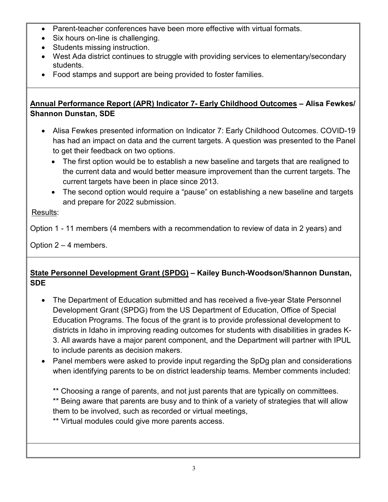- Parent-teacher conferences have been more effective with virtual formats.
- Six hours on-line is challenging.
- Students missing instruction.
- West Ada district continues to struggle with providing services to elementary/secondary students.
- Food stamps and support are being provided to foster families.

#### **Annual Performance Report (APR) Indicator 7- Early Childhood Outcomes – Alisa Fewkes/ Shannon Dunstan, SDE**

- Alisa Fewkes presented information on Indicator 7: Early Childhood Outcomes. COVID-19 has had an impact on data and the current targets. A question was presented to the Panel to get their feedback on two options.
	- The first option would be to establish a new baseline and targets that are realigned to the current data and would better measure improvement than the current targets. The current targets have been in place since 2013.
	- The second option would require a "pause" on establishing a new baseline and targets and prepare for 2022 submission.

## Results:

Option 1 - 11 members (4 members with a recommendation to review of data in 2 years) and

Option 2 – 4 members.

## **State Personnel Development Grant (SPDG) – Kailey Bunch-Woodson/Shannon Dunstan, SDE**

- The Department of Education submitted and has received a five-year State Personnel Development Grant (SPDG) from the US Department of Education, Office of Special Education Programs. The focus of the grant is to provide professional development to districts in Idaho in improving reading outcomes for students with disabilities in grades K-3. All awards have a major parent component, and the Department will partner with IPUL to include parents as decision makers.
- Panel members were asked to provide input regarding the SpDg plan and considerations when identifying parents to be on district leadership teams. Member comments included:
	- \*\* Choosing a range of parents, and not just parents that are typically on committees.
	- \*\* Being aware that parents are busy and to think of a variety of strategies that will allow them to be involved, such as recorded or virtual meetings,
	- \*\* Virtual modules could give more parents access.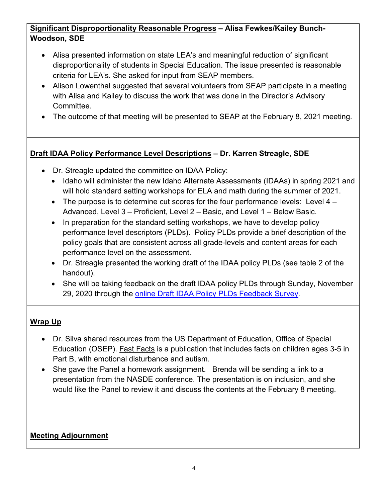## **Significant Disproportionality Reasonable Progress – Alisa Fewkes/Kailey Bunch-Woodson, SDE**

- Alisa presented information on state LEA's and meaningful reduction of significant disproportionality of students in Special Education. The issue presented is reasonable criteria for LEA's. She asked for input from SEAP members.
- Alison Lowenthal suggested that several volunteers from SEAP participate in a meeting with Alisa and Kailey to discuss the work that was done in the Director's Advisory Committee.
- The outcome of that meeting will be presented to SEAP at the February 8, 2021 meeting.

## **Draft IDAA Policy Performance Level Descriptions – Dr. Karren Streagle, SDE**

- Dr. Streagle updated the committee on IDAA Policy:
	- Idaho will administer the new Idaho Alternate Assessments (IDAAs) in spring 2021 and will hold standard setting workshops for ELA and math during the summer of 2021.
	- The purpose is to determine cut scores for the four performance levels: Level  $4 -$ Advanced, Level 3 – Proficient, Level 2 – Basic, and Level 1 – Below Basic.
	- In preparation for the standard setting workshops, we have to develop policy performance level descriptors (PLDs). Policy PLDs provide a brief description of the policy goals that are consistent across all grade-levels and content areas for each performance level on the assessment.
	- Dr. Streagle presented the working draft of the IDAA policy PLDs (see table 2 of the handout).
	- She will be taking feedback on the draft IDAA policy PLDs through Sunday, November 29, 2020 through the [online Draft IDAA Policy PLDs Feedback Survey](https://urldefense.com/v3/__https:/www.surveygizmo.com/s3/5968291/Draft-IDAA-Policy-PLDs-Feedback-Survey__;!!JYXjzlvb!0cPnjMnjkQwlbWDeA-MqARyeLoBWoDJkCD9thySDxx1Pm2xWkKzJtViB2BB974U$)*.*

#### **Wrap Up**

- Dr. Silva shared resources from the US Department of Education, Office of Special Education (OSEP). Fast Facts is a publication that includes facts on children ages 3-5 in Part B, with emotional disturbance and autism.
- She gave the Panel a homework assignment. Brenda will be sending a link to a presentation from the NASDE conference. The presentation is on inclusion, and she would like the Panel to review it and discuss the contents at the February 8 meeting.

#### **Meeting Adjournment**